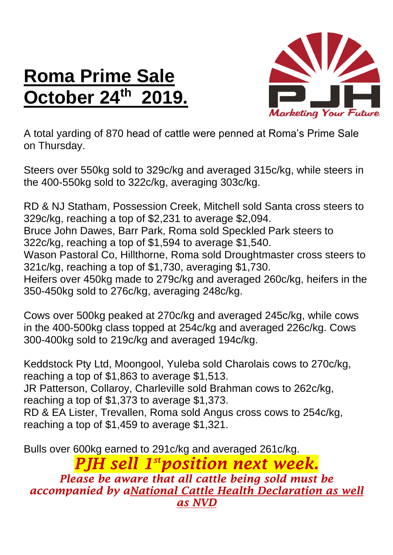## **Roma Prime Sale October 24 th 2019.**



A total yarding of 870 head of cattle were penned at Roma's Prime Sale on Thursday.

Steers over 550kg sold to 329c/kg and averaged 315c/kg, while steers in the 400-550kg sold to 322c/kg, averaging 303c/kg.

RD & NJ Statham, Possession Creek, Mitchell sold Santa cross steers to 329c/kg, reaching a top of \$2,231 to average \$2,094. Bruce John Dawes, Barr Park, Roma sold Speckled Park steers to

322c/kg, reaching a top of \$1,594 to average \$1,540.

Wason Pastoral Co, Hillthorne, Roma sold Droughtmaster cross steers to 321c/kg, reaching a top of \$1,730, averaging \$1,730.

Heifers over 450kg made to 279c/kg and averaged 260c/kg, heifers in the 350-450kg sold to 276c/kg, averaging 248c/kg.

Cows over 500kg peaked at 270c/kg and averaged 245c/kg, while cows in the 400-500kg class topped at 254c/kg and averaged 226c/kg. Cows 300-400kg sold to 219c/kg and averaged 194c/kg.

Keddstock Pty Ltd, Moongool, Yuleba sold Charolais cows to 270c/kg, reaching a top of \$1,863 to average \$1,513. JR Patterson, Collaroy, Charleville sold Brahman cows to 262c/kg, reaching a top of \$1,373 to average \$1,373. RD & EA Lister, Trevallen, Roma sold Angus cross cows to 254c/kg, reaching a top of \$1,459 to average \$1,321.

Bulls over 600kg earned to 291c/kg and averaged 261c/kg.

*PJH sell 1 stposition next week. Please be aware that all cattle being sold must be accompanied by aNational Cattle Health Declaration as well as NVD*